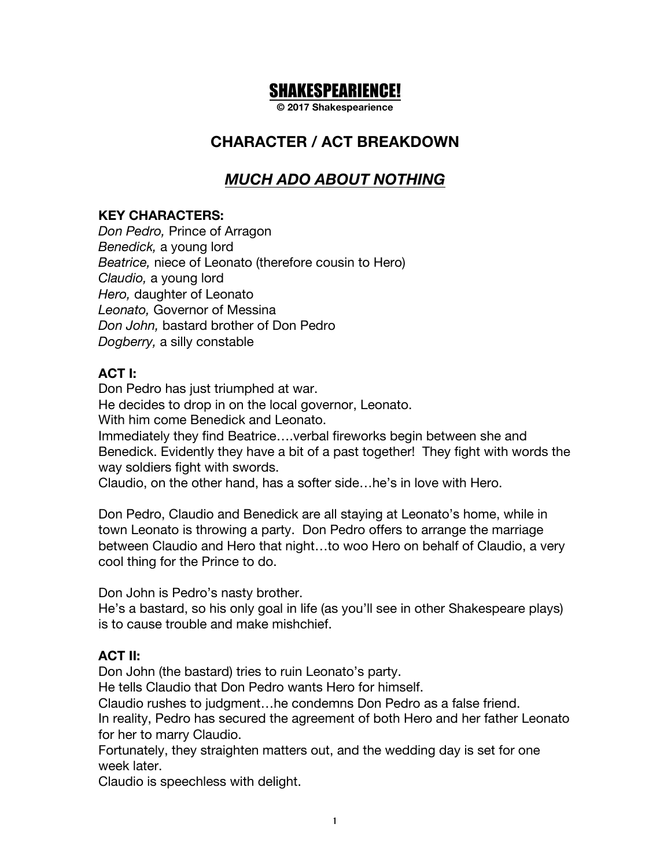# SHAKESPEARIENCE!

**© 2017 Shakespearience**

### **CHARACTER / ACT BREAKDOWN**

# *MUCH ADO ABOUT NOTHING*

#### **KEY CHARACTERS:**

*Don Pedro,* Prince of Arragon *Benedick,* a young lord *Beatrice,* niece of Leonato (therefore cousin to Hero) *Claudio,* a young lord *Hero,* daughter of Leonato *Leonato,* Governor of Messina *Don John,* bastard brother of Don Pedro *Dogberry,* a silly constable

#### **ACT I:**

Don Pedro has just triumphed at war. He decides to drop in on the local governor, Leonato. With him come Benedick and Leonato. Immediately they find Beatrice….verbal fireworks begin between she and Benedick. Evidently they have a bit of a past together! They fight with words the way soldiers fight with swords. Claudio, on the other hand, has a softer side…he's in love with Hero.

Don Pedro, Claudio and Benedick are all staying at Leonato's home, while in town Leonato is throwing a party. Don Pedro offers to arrange the marriage between Claudio and Hero that night…to woo Hero on behalf of Claudio, a very cool thing for the Prince to do.

Don John is Pedro's nasty brother.

He's a bastard, so his only goal in life (as you'll see in other Shakespeare plays) is to cause trouble and make mishchief.

#### **ACT II:**

Don John (the bastard) tries to ruin Leonato's party.

He tells Claudio that Don Pedro wants Hero for himself.

Claudio rushes to judgment…he condemns Don Pedro as a false friend.

In reality, Pedro has secured the agreement of both Hero and her father Leonato for her to marry Claudio.

Fortunately, they straighten matters out, and the wedding day is set for one week later.

Claudio is speechless with delight.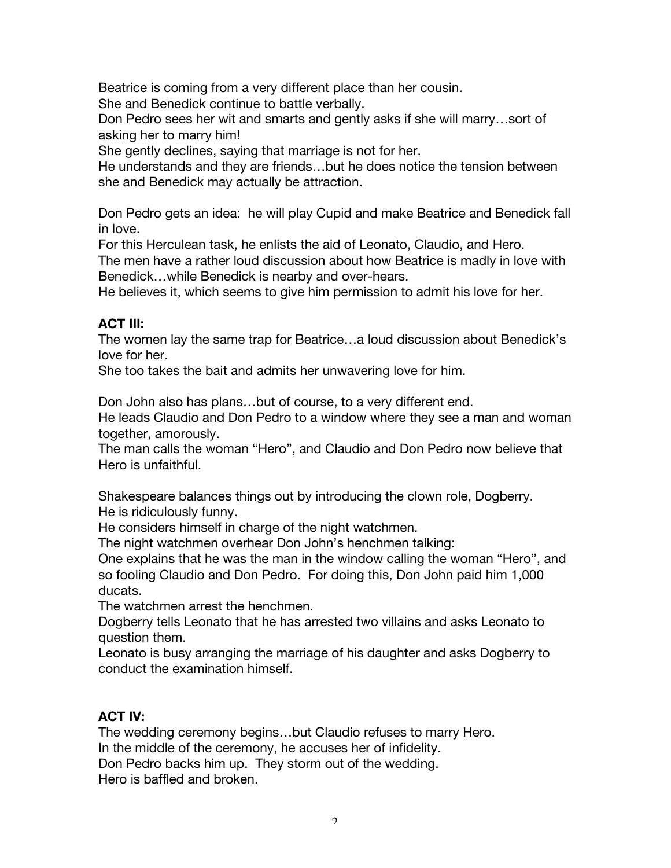Beatrice is coming from a very different place than her cousin. She and Benedick continue to battle verbally.

Don Pedro sees her wit and smarts and gently asks if she will marry…sort of asking her to marry him!

She gently declines, saying that marriage is not for her.

He understands and they are friends…but he does notice the tension between she and Benedick may actually be attraction.

Don Pedro gets an idea: he will play Cupid and make Beatrice and Benedick fall in love.

For this Herculean task, he enlists the aid of Leonato, Claudio, and Hero.

The men have a rather loud discussion about how Beatrice is madly in love with Benedick…while Benedick is nearby and over-hears.

He believes it, which seems to give him permission to admit his love for her.

#### **ACT III:**

The women lay the same trap for Beatrice…a loud discussion about Benedick's love for her.

She too takes the bait and admits her unwavering love for him.

Don John also has plans…but of course, to a very different end.

He leads Claudio and Don Pedro to a window where they see a man and woman together, amorously.

The man calls the woman "Hero", and Claudio and Don Pedro now believe that Hero is unfaithful.

Shakespeare balances things out by introducing the clown role, Dogberry. He is ridiculously funny.

He considers himself in charge of the night watchmen.

The night watchmen overhear Don John's henchmen talking:

One explains that he was the man in the window calling the woman "Hero", and so fooling Claudio and Don Pedro. For doing this, Don John paid him 1,000 ducats.

The watchmen arrest the henchmen.

Dogberry tells Leonato that he has arrested two villains and asks Leonato to question them.

Leonato is busy arranging the marriage of his daughter and asks Dogberry to conduct the examination himself.

### **ACT IV:**

The wedding ceremony begins…but Claudio refuses to marry Hero. In the middle of the ceremony, he accuses her of infidelity. Don Pedro backs him up. They storm out of the wedding. Hero is baffled and broken.